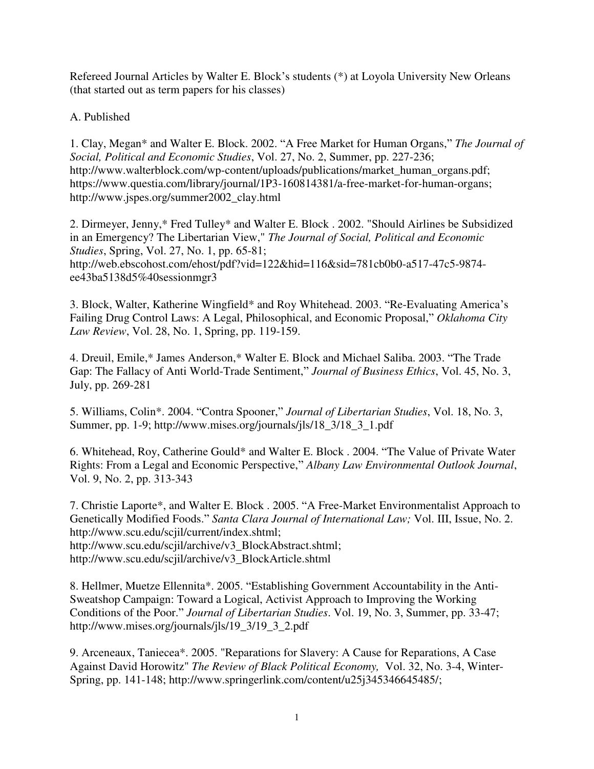Refereed Journal Articles by Walter E. Block's students (\*) at Loyola University New Orleans (that started out as term papers for his classes)

A. Published

1. Clay, Megan\* and Walter E. Block. 2002. "A Free Market for Human Organs," *The Journal of Social, Political and Economic Studies*, Vol. 27, No. 2, Summer, pp. 227-236; http://www.walterblock.com/wp-content/uploads/publications/market\_human\_organs.pdf; https://www.questia.com/library/journal/1P3-160814381/a-free-market-for-human-organs; http://www.jspes.org/summer2002\_clay.html

2. Dirmeyer, Jenny,\* Fred Tulley\* and Walter E. Block . 2002. "Should Airlines be Subsidized in an Emergency? The Libertarian View," *The Journal of Social, Political and Economic Studies*, Spring, Vol. 27, No. 1, pp. 65-81; http://web.ebscohost.com/ehost/pdf?vid=122&hid=116&sid=781cb0b0-a517-47c5-9874 ee43ba5138d5%40sessionmgr3

3. Block, Walter, Katherine Wingfield\* and Roy Whitehead. 2003. "Re-Evaluating America's Failing Drug Control Laws: A Legal, Philosophical, and Economic Proposal," *Oklahoma City Law Review*, Vol. 28, No. 1, Spring, pp. 119-159.

4. Dreuil, Emile,\* James Anderson,\* Walter E. Block and Michael Saliba. 2003. "The Trade Gap: The Fallacy of Anti World-Trade Sentiment," *Journal of Business Ethics*, Vol. 45, No. 3, July, pp. 269-281

5. Williams, Colin\*. 2004. "Contra Spooner," *Journal of Libertarian Studies*, Vol. 18, No. 3, Summer, pp. 1-9; http://www.mises.org/journals/jls/18\_3/18\_3\_1.pdf

6. Whitehead, Roy, Catherine Gould\* and Walter E. Block . 2004. "The Value of Private Water Rights: From a Legal and Economic Perspective," *Albany Law Environmental Outlook Journal*, Vol. 9, No. 2, pp. 313-343

7. Christie Laporte\*, and Walter E. Block . 2005. "A Free-Market Environmentalist Approach to Genetically Modified Foods." *Santa Clara Journal of International Law;* Vol. III, Issue, No. 2. http://www.scu.edu/scjil/current/index.shtml; [http://www.scu.edu/scjil/archive/v3\\_BlockAbstract.shtml;](http://www.scu.edu/scjil/archive/v3_BlockAbstract.shtml) [http://www.scu.edu/scjil/archive/v3\\_BlockArticle.shtml](http://www.scu.edu/scjil/archive/v3_BlockArticle.shtml) 

8. Hellmer, Muetze Ellennita\*. 2005. "Establishing Government Accountability in the Anti-Sweatshop Campaign: Toward a Logical, Activist Approach to Improving the Working Conditions of the Poor." *Journal of Libertarian Studies*. Vol. 19, No. 3, Summer, pp. 33-47; [http://www.mises.org/journals/jls/19\\_3/19\\_3\\_2.pdf](http://www.mises.org/journals/jls/19_3/19_3_2.pdf) 

9. Arceneaux, Taniecea\*. 2005. "Reparations for Slavery: A Cause for Reparations, A Case Against David Horowitz" *The Review of Black Political Economy,* Vol. 32, No. 3-4, Winter-Spring, pp. 141-148; [http://www.springerlink.com/content/u25j345346645485/;](http://www.springerlink.com/content/u25j345346645485/)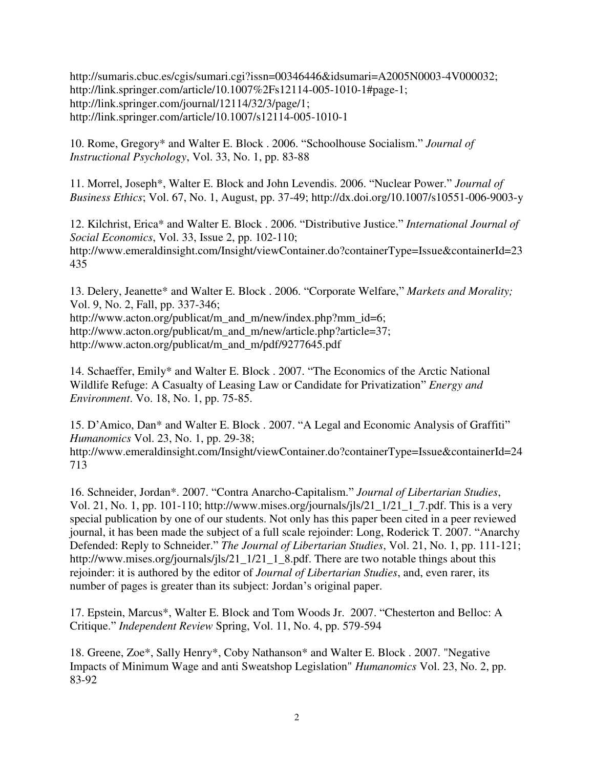[http://sumaris.cbuc.es/cgis/sumari.cgi?issn=00346446&idsumari=A2005N0003-4V000032;](http://sumaris.cbuc.es/cgis/sumari.cgi?issn=00346446&idsumari=A2005N0003-4V000032) [http://link.springer.com/article/10.1007%2Fs12114-005-1010-1#page-1;](http://link.springer.com/article/10.1007%2Fs12114-005-1010-1#page-1) [http://link.springer.com/journal/12114/32/3/page/1;](http://link.springer.com/journal/12114/32/3/page/1) http://link.springer.com/article/10.1007/s12114-005-1010-1

10. Rome, Gregory\* and Walter E. Block . 2006. "Schoolhouse Socialism." *Journal of Instructional Psychology*, Vol. 33, No. 1, pp. 83-88

11. Morrel, Joseph\*, Walter E. Block and John Levendis. 2006. "Nuclear Power." *Journal of Business Ethics*; Vol. 67, No. 1, August, pp. 37-49;<http://dx.doi.org/10.1007/s10551-006-9003-y>

12. Kilchrist, Erica\* and Walter E. Block . 2006. "Distributive Justice." *International Journal of Social Economics*, Vol. 33, Issue 2, pp. 102-110; http://www.emeraldinsight.com/Insight/viewContainer.do?containerType=Issue&containerId=23 435

13. Delery, Jeanette\* and Walter E. Block . 2006. "Corporate Welfare," *Markets and Morality;*  Vol. 9, No. 2, Fall, pp. 337-346; [http://www.acton.org/publicat/m\\_and\\_m/new/index.php?mm\\_id=6;](http://www.acton.org/publicat/m_and_m/new/index.php?mm_id=6) http://www.acton.org/publicat/m\_and\_m/new/article.php?article=37; http://www.acton.org/publicat/m\_and\_m/pdf/9277645.pdf

14. Schaeffer, Emily\* and Walter E. Block . 2007. "The Economics of the Arctic National Wildlife Refuge: A Casualty of Leasing Law or Candidate for Privatization" *Energy and Environment*. Vo. 18, No. 1, pp. 75-85.

15. D'Amico, Dan\* and Walter E. Block . 2007. "A Legal and Economic Analysis of Graffiti" *Humanomics* Vol. 23, No. 1, pp. 29-38; http://www.emeraldinsight.com/Insight/viewContainer.do?containerType=Issue&containerId=24 713

16. Schneider, Jordan\*. 2007. "Contra Anarcho-Capitalism." *Journal of Libertarian Studies*, Vol. 21, No. 1, pp. 101-110; http://www.mises.org/journals/jls/21\_1/21\_1\_7.pdf. This is a very special publication by one of our students. Not only has this paper been cited in a peer reviewed journal, it has been made the subject of a full scale rejoinder: Long, Roderick T. 2007. "Anarchy Defended: Reply to Schneider." *The Journal of Libertarian Studies*, Vol. 21, No. 1, pp. 111-121; http://www.mises.org/journals/jls/21\_1/21\_1\_8.pdf. There are two notable things about this rejoinder: it is authored by the editor of *Journal of Libertarian Studies*, and, even rarer, its number of pages is greater than its subject: Jordan's original paper.

17. Epstein, Marcus\*, Walter E. Block and Tom Woods Jr. 2007. "Chesterton and Belloc: A Critique." *Independent Review* Spring, Vol. 11, No. 4, pp. 579-594

18. Greene, Zoe\*, Sally Henry\*, Coby Nathanson\* and Walter E. Block . 2007. "Negative Impacts of Minimum Wage and anti Sweatshop Legislation" *Humanomics* Vol. 23, No. 2, pp. 83-92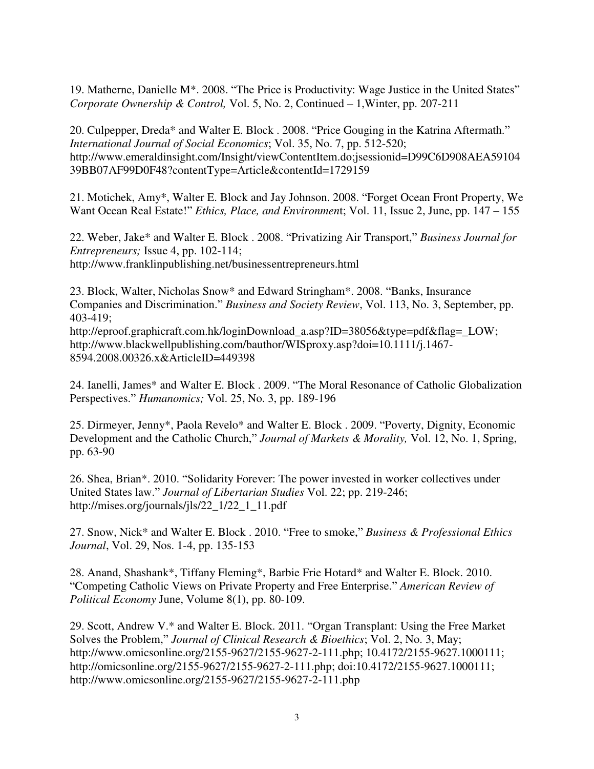19. Matherne, Danielle M\*. 2008. "The Price is Productivity: Wage Justice in the United States" *Corporate Ownership & Control,* Vol. 5, No. 2, Continued – 1,Winter, pp. 207-211

20. Culpepper, Dreda\* and Walter E. Block . 2008. "Price Gouging in the Katrina Aftermath." *International Journal of Social Economics*; Vol. 35, No. 7, pp. 512-520; [http://www.emeraldinsight.com/Insight/viewContentItem.do;jsessionid=D99C6D908AEA59104](http://www.emeraldinsight.com/Insight/viewContentItem.do;jsessionid=D99C6D908AEA5910439BB07AF99D0F48?contentType=Article&contentId=1729159) [39BB07AF99D0F48?contentType=Article&contentId=1729159](http://www.emeraldinsight.com/Insight/viewContentItem.do;jsessionid=D99C6D908AEA5910439BB07AF99D0F48?contentType=Article&contentId=1729159) 

21. Motichek, Amy\*, Walter E. Block and Jay Johnson. 2008. "Forget Ocean Front Property, We Want Ocean Real Estate!" *Ethics, Place, and Environmen*t; Vol. [11,](http://www.informaworld.com/smpp/title~content=t713417006~db=all~tab=issueslist~branches=11#v11) Issue 2, June, pp. 147 – 155

22. Weber, Jake\* and Walter E. Block . 2008. "Privatizing Air Transport," *Business Journal for Entrepreneurs;* Issue 4, pp. 102-114; http://www.franklinpublishing.net/businessentrepreneurs.html

23. Block, Walter, Nicholas Snow\* and Edward Stringham\*. 2008. "Banks, Insurance Companies and Discrimination." *Business and Society Review*, Vol. 113, No. 3, September, pp. 403-419;

[http://eproof.graphicraft.com.hk/loginDownload\\_a.asp?ID=38056&type=pdf&flag=\\_LOW;](http://141.164.133.3/exchweb/bin/redir.asp?URL=http://eproof.graphicraft.com.hk/loginDownload_a.asp?ID=38056%26type=pdf%26flag=_LOW) http://www.blackwellpublishing.com/bauthor/WISproxy.asp?doi=10.1111/j.1467- 8594.2008.00326.x&ArticleID=449398

24. Ianelli, James\* and Walter E. Block . 2009. "The Moral Resonance of Catholic Globalization Perspectives." *Humanomics;* Vol. 25, No. 3, pp. 189-196

25. Dirmeyer, Jenny\*, Paola Revelo\* and Walter E. Block . 2009. "Poverty, Dignity, Economic Development and the Catholic Church," *Journal of Markets & Morality,* Vol. 12, No. 1, Spring, pp. 63-90

26. Shea, Brian\*. 2010. "Solidarity Forever: The power invested in worker collectives under United States law." *Journal of Libertarian Studies* Vol. 22; pp. 219-246; http://mises.org/journals/jls/22\_1/22\_1\_11.pdf

27. Snow, Nick\* and Walter E. Block . 2010. "Free to smoke," *Business & Professional Ethics Journal*, Vol. 29, Nos. 1-4, pp. 135-153

28. Anand, Shashank\*, Tiffany Fleming\*, Barbie Frie Hotard\* and Walter E. Block. 2010. "Competing Catholic Views on Private Property and Free Enterprise." *American Review of Political Economy* June, Volume 8(1), pp. 80-109.

29. Scott, Andrew V.\* and Walter E. Block. 2011. "Organ Transplant: Using the Free Market Solves the Problem," *[Journal of Clinical Research & Bioethics](http://omicsonline.bmemails11.com/c/l?u=12C33&e=D6E9&c=2CA8&t=0&email=QudS8urCrU3WOJdBRI6C5JnvXVxWsTQ8kH2BgW%2FghOQ%3D)*; Vol. 2, No. 3, May; http://www.omicsonline.org/2155-9627/2155-9627-2-111.php; [10.4172/2155-9627.1000111;](http://141.164.133.3/exchweb/bin/redir.asp?URL=http://www.benchmarkemail.com/c/l?u=1FF168%26e=CADFB%26c=188E5%26t=0%26l=10CAB%26email=QudS8urCrU3WOJdBRI6C5JnvXVxWsTQ8kH2BgW%252FghOQ%253D) [http://omicsonline.org/2155-9627/2155-9627-2-111.php;](http://omicsonline.org/2155-9627/2155-9627-2-111.php) doi:10.4172/2155-9627.1000111; http://www.omicsonline.org/2155-9627/2155-9627-2-111.php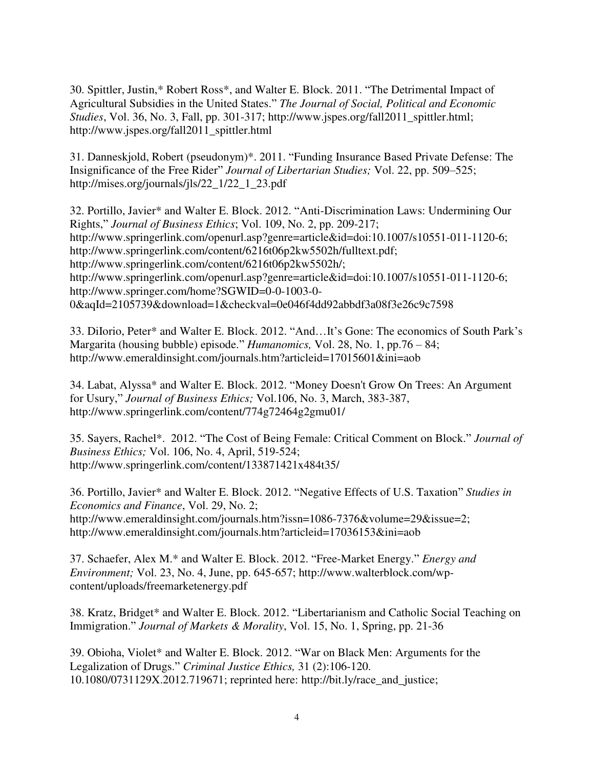30. Spittler, Justin,\* Robert Ross\*, and Walter E. Block. 2011. "The Detrimental Impact of Agricultural Subsidies in the United States." *The Journal of Social, Political and Economic Studies*, Vol. 36, No. 3, Fall, pp. 301-317; [http://www.jspes.org/fall2011\\_spittler.html;](http://www.jspes.org/fall2011_spittler.html) [http://www.jspes.org/fall2011\\_spittler.html](http://www.jspes.org/fall2011_spittler.html) 

31. Danneskjold, Robert (pseudonym)\*. 2011. "Funding Insurance Based Private Defense: The Insignificance of the Free Rider" *Journal of Libertarian Studies;* Vol. 22, pp. 509–525; [http://mises.org/journals/jls/22\\_1/22\\_1\\_23.pdf](http://mises.org/journals/jls/22_1/22_1_23.pdf) 

32. Portillo, Javier\* and Walter E. Block. 2012. "Anti-Discrimination Laws: Undermining Our Rights," *Journal of Business Ethics*; Vol. 109, No. 2, pp. 209-217; [http://www.springerlink.com/openurl.asp?genre=article&id=doi:10.1007/s10551-011-1120-6;](http://www.springer.com/alert/urltracking.do?id=L4c943dM92d49eSaa2d5e8) [http://www.springerlink.com/content/6216t06p2kw5502h/fulltext.pdf;](http://www.springerlink.com/content/6216t06p2kw5502h/fulltext.pdf) [http://www.springerlink.com/content/6216t06p2kw5502h/;](http://www.springerlink.com/content/6216t06p2kw5502h/) [http://www.springerlink.com/openurl.asp?genre=article&id=doi:10.1007/s10551-011-1120-6;](http://141.164.133.3/exchweb/bin/redir.asp?URL=http://www.springer.com/alert/urltracking.do?id=Lcf4fd5Ma7a9f9Saa2d5e8) [http://www.springer.com/home?SGWID=0-0-1003-0-](http://141.164.133.3/exchweb/bin/redir.asp?URL=http://www.springer.com/alert/urltracking.do?id=Lcf4fd6Ma7a9f9Saa2d5e8) [0&aqId=2105739&download=1&checkval=0e046f4dd92abbdf3a08f3e26c9c7598](http://141.164.133.3/exchweb/bin/redir.asp?URL=http://www.springer.com/alert/urltracking.do?id=Lcf4fd6Ma7a9f9Saa2d5e8) 

33. DiIorio, Peter\* and Walter E. Block. 2012. "And…It's Gone: The economics of South Park's Margarita (housing bubble) episode." *Humanomics,* Vol. 28, No. 1, pp.76 – 84; <http://www.emeraldinsight.com/journals.htm?articleid=17015601&ini=aob>

34. Labat, Alyssa\* and Walter E. Block. 2012. "Money Doesn't Grow On Trees: An Argument for Usury," *Journal of Business Ethics;* [Vol.106, No. 3,](http://www.springerlink.com/content/0167-4544/106/3/) March, 383-387, http://www.springerlink.com/content/774g72464g2gmu01/

35. Sayers, Rachel\*. 2012. "The Cost of Being Female: Critical Comment on Block." *Journal of Business Ethics;* [Vol. 106, No. 4,](http://www.springerlink.com/content/0167-4544/106/4/) April, 519-524; <http://www.springerlink.com/content/133871421x484t35/>

36. Portillo, Javier\* and Walter E. Block. 2012. "Negative Effects of U.S. Taxation" *Studies in Economics and Finance*, Vol. 29, No. 2; [http://www.emeraldinsight.com/journals.htm?issn=1086-7376&volume=29&issue=2;](http://www.emeraldinsight.com/journals.htm?issn=1086-7376&volume=29&issue=2) http://www.emeraldinsight.com/journals.htm?articleid=17036153&ini=aob

37. Schaefer, Alex M.\* and Walter E. Block. 2012. "Free-Market Energy." *Energy and Environment;* Vol. 23, No. 4, June, pp. 645-657; [http://www.walterblock.com/wp](http://141.164.133.3/exchweb/bin/redir.asp?URL=http://www.walterblock.com/wp-content/uploads/freemarketenergy.pdf)[content/uploads/freemarketenergy.pdf](http://141.164.133.3/exchweb/bin/redir.asp?URL=http://www.walterblock.com/wp-content/uploads/freemarketenergy.pdf)

38. Kratz, Bridget\* and Walter E. Block. 2012. "Libertarianism and Catholic Social Teaching on Immigration." *Journal of Markets & Morality*, Vol. 15, No. 1, Spring, pp. 21-36

39. Obioha, Violet\* and Walter E. Block. 2012. "War on Black Men: Arguments for the Legalization of Drugs." *Criminal Justice Ethics,* 31 (2):106-120. 10.1080/0731129X.2012.719671; reprinted here: [http://bit.ly/race\\_and\\_justice;](http://bit.ly/race_and_justice)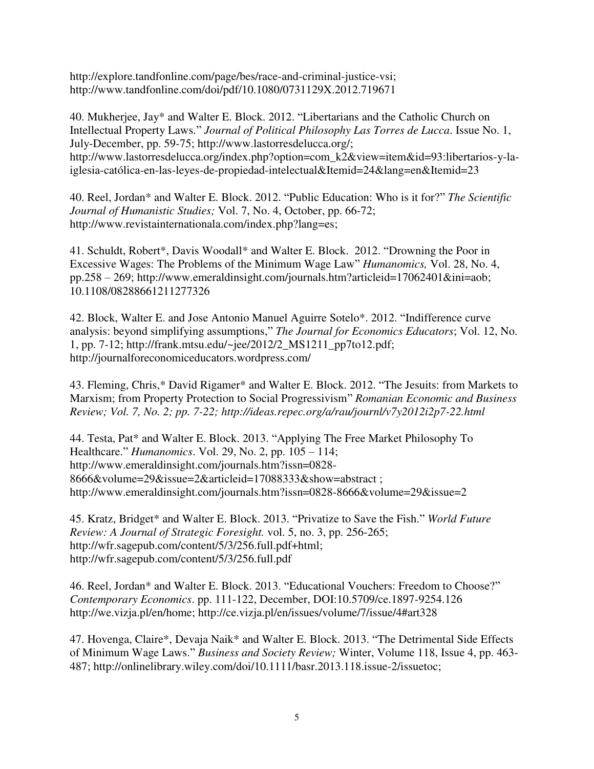[http://explore.tandfonline.com/page/bes/race-and-criminal-justice-vsi;](http://explore.tandfonline.com/page/bes/race-and-criminal-justice-vsi) <http://www.tandfonline.com/doi/pdf/10.1080/0731129X.2012.719671>

40. Mukherjee, Jay\* and Walter E. Block. 2012. "Libertarians and the Catholic Church on Intellectual Property Laws." *Journal of Political Philosophy Las Torres de Lucca*. Issue No. 1, July-December, pp. 59-75; [http://www.lastorresdelucca.org/;](http://www.lastorresdelucca.org/) [http://www.lastorresdelucca.org/index.php?option=com\\_k2&view=item&id=93:libertarios-y-la](http://www.lastorresdelucca.org/index.php?option=com_k2&view=item&id=93:libertarios-y-la-iglesia-cat�lica-en-las-leyes-de-propiedad-intelectual&Itemid=24&lang=en&Itemid=23)[iglesia-católica-en-las-leyes-de-propiedad-intelectual&Itemid=24&lang=en&Itemid=23](http://www.lastorresdelucca.org/index.php?option=com_k2&view=item&id=93:libertarios-y-la-iglesia-cat�lica-en-las-leyes-de-propiedad-intelectual&Itemid=24&lang=en&Itemid=23) 

40. Reel, Jordan\* and Walter E. Block. 2012. "Public Education: Who is it for?" *The Scientific Journal of Humanistic Studies;* Vol. 7, No. 4, October, pp. 66-72; [http://www.revistainternationala.com/index.php?lang=es;](http://www.revistainternationala.com/index.php?lang=es)

41. Schuldt, Robert\*, Davis Woodall\* and Walter E. Block. 2012. "Drowning the Poor in Excessive Wages: The Problems of the Minimum Wage Law" *Humanomics,* Vol. 28, No. 4, pp.258 – 269; [http://www.emeraldinsight.com/journals.htm?articleid=17062401&ini=aob;](http://www.emeraldinsight.com/journals.htm?articleid=17062401&ini=aob) [10.1108/08288661211277326](http://dx.doi.org/10.1108/08288661211277326) 

42. Block, Walter E. and Jose Antonio Manuel Aguirre Sotelo\*. 2012. "Indifference curve analysis: beyond simplifying assumptions," *The Journal for Economics Educators*; Vol. 12, No. 1, pp. 7-12; [http://frank.mtsu.edu/~jee/2012/2\\_MS1211\\_pp7to12.pdf;](http://frank.mtsu.edu/~jee/2012/2_MS1211_pp7to12.pdf) <http://journalforeconomiceducators.wordpress.com/>

43. Fleming, Chris,\* David Rigamer\* and Walter E. Block. 2012. "The Jesuits: from Markets to Marxism; from Property Protection to Social Progressivism" *Romanian Economic and Business Review; Vol. 7, No. 2; pp. 7-22; http://ideas.repec.org/a/rau/journl/v7y2012i2p7-22.html*

44. Testa, Pat\* and Walter E. Block. 2013. "Applying The Free Market Philosophy To Healthcare." *Humanomics*. Vol. 29, No. 2, pp. 105 – 114; http://www.emeraldinsight.com/journals.htm?issn=0828- 8666&volume=29&issue=2&articleid=17088333&show=abstract ; <http://www.emeraldinsight.com/journals.htm?issn=0828-8666&volume=29&issue=2>

45. Kratz, Bridget\* and Walter E. Block. 2013. "Privatize to Save the Fish." *World Future Review: A Journal of Strategic Foresight.* vol. 5, no. 3, pp. 256-265; [http://wfr.sagepub.com/content/5/3/256.full.pdf+html;](http://wfr.sagepub.com/content/5/3/256.full.pdf+html) <http://wfr.sagepub.com/content/5/3/256.full.pdf>

46. Reel, Jordan\* and Walter E. Block. 2013. "Educational Vouchers: Freedom to Choose?" *Contemporary Economics*. pp. 111-122, December, DOI:10.5709/ce.1897-9254.126 [http://we.vizja.pl/en/home;](http://we.vizja.pl/en/home)<http://ce.vizja.pl/en/issues/volume/7/issue/4#art328>

47. Hovenga, Claire\*, Devaja Naik\* and Walter E. Block. 2013. "The Detrimental Side Effects of Minimum Wage Laws." *Business and Society Review;* Winter, Volume 118, Issue 4, pp. 463- 487; [http://onlinelibrary.wiley.com/doi/10.1111/basr.2013.118.issue-2/issuetoc;](http://onlinelibrary.wiley.com/doi/10.1111/basr.2013.118.issue-2/issuetoc)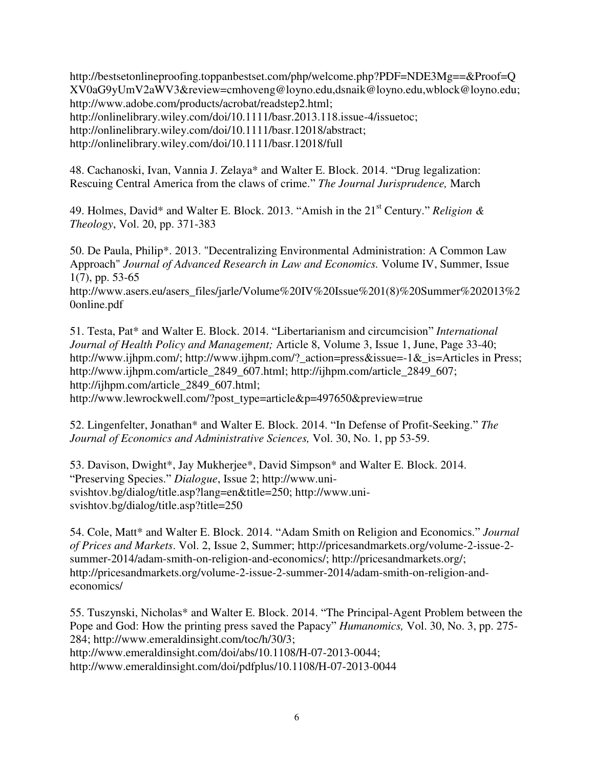[http://bestsetonlineproofing.toppanbestset.com/php/welcome.php?PDF=NDE3Mg==&Proof=Q](http://bestsetonlineproofing.toppanbestset.com/php/welcome.php?PDF=NDE3Mg==&Proof=QXV0aG9yUmV2aWV3&review=cmhoveng@loyno.edu,dsnaik@loyno.edu,wblock@loyno.edu) [XV0aG9yUmV2aWV3&review=cmhoveng@loyno.edu,dsnaik@loyno.edu,wblock@loyno.edu;](http://bestsetonlineproofing.toppanbestset.com/php/welcome.php?PDF=NDE3Mg==&Proof=QXV0aG9yUmV2aWV3&review=cmhoveng@loyno.edu,dsnaik@loyno.edu,wblock@loyno.edu) [http://www.adobe.com/products/acrobat/readstep2.html;](http://www.adobe.com/products/acrobat/readstep2.html) [http://onlinelibrary.wiley.com/doi/10.1111/basr.2013.118.issue-4/issuetoc;](http://onlinelibrary.wiley.com/doi/10.1111/basr.2013.118.issue-4/issuetoc) [http://onlinelibrary.wiley.com/doi/10.1111/basr.12018/abstract;](http://onlinelibrary.wiley.com/doi/10.1111/basr.12018/abstract) <http://onlinelibrary.wiley.com/doi/10.1111/basr.12018/full>

48. Cachanoski, Ivan, Vannia J. Zelaya\* and Walter E. Block. 2014. "Drug legalization: Rescuing Central America from the claws of crime." *The Journal Jurisprudence,* March

49. Holmes, David\* and Walter E. Block. 2013. "Amish in the 21st Century." *[Religion &](http://141.164.133.3/exchweb/bin/redir.asp?URL=http://www.mehtapress.com/index.php?option=com_content%26view=article%26id=976%26Itemid=1245)  [Theology](http://141.164.133.3/exchweb/bin/redir.asp?URL=http://www.mehtapress.com/index.php?option=com_content%26view=article%26id=976%26Itemid=1245)*, Vol. 20, pp. 371-383

50. De Paula, Philip\*. 2013. "Decentralizing Environmental Administration: A Common Law Approach" *Journal of Advanced Research in Law and Economics.* Volume IV, Summer, Issue 1(7), pp. 53-65

http://www.asers.eu/asers\_files/jarle/Volume%20IV%20Issue%201(8)%20Summer%202013%2 0online.pdf

51. Testa, Pat\* and Walter E. Block. 2014. "Libertarianism and circumcision" *International Journal of Health Policy and Management;* Article 8, [Volume 3, Issue 1,](http://www.ijhpm.com/issue_607_608_Volume+3%2C+Issue+1%2C+June+2014.html) June, Page 33-40; [http://www.ijhpm.com/;](http://www.ijhpm.com/) http://www.ijhpm.com/? action=press&issue=-1& is=Articles in Press; [http://www.ijhpm.com/article\\_2849\\_607.html;](http://www.ijhpm.com/article_2849_607.html) [http://ijhpm.com/article\\_2849\\_607;](http://141.164.71.80/exchweb/bin/redir.asp?URL=http://ijhpm.com/article_2849_607) [http://ijhpm.com/article\\_2849\\_607.html;](http://141.164.71.80/exchweb/bin/redir.asp?URL=http://ijhpm.com/article_2849_607.html) [http://www.lewrockwell.com/?post\\_type=article&p=497650&preview=true](http://141.164.71.80/exchweb/bin/redir.asp?URL=http://www.lewrockwell.com/?post_type=article%26p=497650%26preview=true) 

52. Lingenfelter, Jonathan\* and Walter E. Block. 2014. "In Defense of Profit-Seeking." *The Journal of Economics and Administrative Sciences,* Vol. 30, No. 1, pp 53-59.

53. Davison, Dwight\*, Jay Mukherjee\*, David Simpson\* and Walter E. Block. 2014. "Preserving Species." *Dialogue*, Issue 2; http://www.unisvishtov.bg/dialog/title.asp?lang=en&title=250; [http://www.uni](http://www.uni-svishtov.bg/dialog/title.asp?title=250)[svishtov.bg/dialog/title.asp?title=250](http://www.uni-svishtov.bg/dialog/title.asp?title=250) 

54. Cole, Matt\* and Walter E. Block. 2014. "Adam Smith on Religion and Economics." *Journal of Prices and Markets*. Vol. 2, Issue 2, Summer; [http://pricesandmarkets.org/volume-2-issue-2](http://pricesandmarkets.org/volume-2-issue-2-summer-2014/adam-smith-on-religion-and-economics/) [summer-2014/adam-smith-on-religion-and-economics/;](http://pricesandmarkets.org/volume-2-issue-2-summer-2014/adam-smith-on-religion-and-economics/) [http://pricesandmarkets.org/;](http://pricesandmarkets.org/) http://pricesandmarkets.org/volume-2-issue-2-summer-2014/adam-smith-on-religion-andeconomics/

55. Tuszynski, Nicholas\* and Walter E. Block. 2014. "The Principal-Agent Problem between the Pope and God: How the printing press saved the Papacy" *Humanomics,* Vol. 30, No. 3, pp. 275- 284; [http://www.emeraldinsight.com/toc/h/30/3;](http://www.emeraldinsight.com/toc/h/30/3) [http://www.emeraldinsight.com/doi/abs/10.1108/H-07-2013-0044;](http://www.emeraldinsight.com/doi/abs/10.1108/H-07-2013-0044) http://www.emeraldinsight.com/doi/pdfplus/10.1108/H-07-2013-0044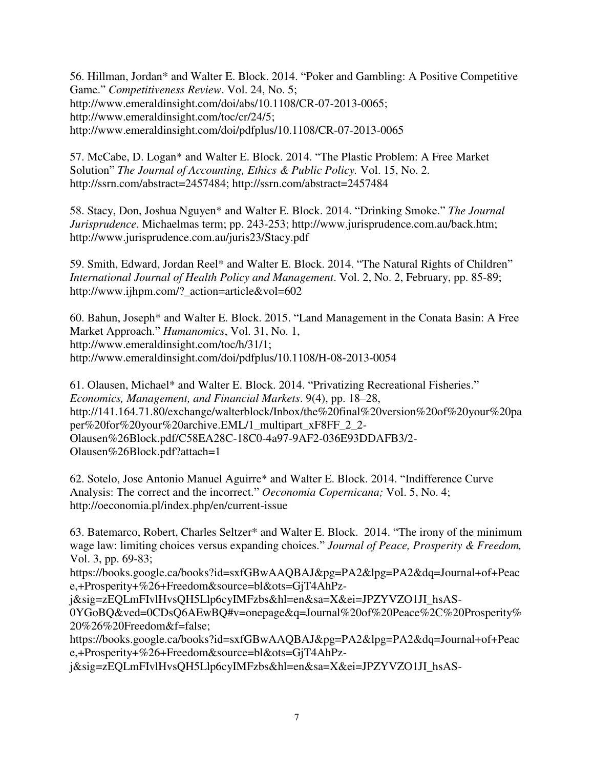56. Hillman, Jordan\* and Walter E. Block. 2014. "Poker and Gambling: A Positive Competitive Game." *Competitiveness Review*. Vol. 24, No. 5; http://www.emeraldinsight.com/doi/abs/10.1108/CR-07-2013-0065; [http://www.emeraldinsight.com/toc/cr/24/5;](http://www.emeraldinsight.com/toc/cr/24/5) <http://www.emeraldinsight.com/doi/pdfplus/10.1108/CR-07-2013-0065>

57. McCabe, D. Logan\* and Walter E. Block. 2014. "The Plastic Problem: A Free Market Solution" *The Journal of Accounting, Ethics & Public Policy.* Vol. 15, No. 2. [http://ssrn.com/abstract=2457484; http://ssrn.com/abstract=2457484](http://ssrn.com/abstract=2457484) 

58. Stacy, Don, Joshua Nguyen\* and Walter E. Block. 2014. "Drinking Smoke." *The Journal Jurisprudence*. Michaelmas term; pp. 243-253; [http://www.jurisprudence.com.au/back.htm;](http://www.jurisprudence.com.au/back.htm) <http://www.jurisprudence.com.au/juris23/Stacy.pdf>

59. Smith, Edward, Jordan Reel\* and Walter E. Block. 2014. "The Natural Rights of Children" *International Journal of Health Policy and Management*. Vol. 2, No. 2, February, pp. 85-89; http://www.ijhpm.com/? action=article&vol=602

60. Bahun, Joseph\* and Walter E. Block. 2015. "Land Management in the Conata Basin: A Free Market Approach." *Humanomics*, Vol. 31, No. 1, [http://www.emeraldinsight.com/toc/h/31/1;](http://www.emeraldinsight.com/toc/h/31/1) <http://www.emeraldinsight.com/doi/pdfplus/10.1108/H-08-2013-0054>

61. Olausen, Michael\* and Walter E. Block. 2014. "Privatizing Recreational Fisheries." *Economics, Management, and Financial Markets*. 9(4), pp. 18–28, [http://141.164.71.80/exchange/walterblock/Inbox/the%20final%20version%20of%20your%20pa](http://141.164.71.80/exchange/walterblock/Inbox/the%20final%20version%20of%20your%20paper%20for%20your%20archive.EML/1_multipart_xF8FF_2_2-Olausen%26Block.pdf/C58EA28C-18C0-4a97-9AF2-036E93DDAFB3/2-Olausen%26Block.pdf?attach=1) [per%20for%20your%20archive.EML/1\\_multipart\\_xF8FF\\_2\\_2-](http://141.164.71.80/exchange/walterblock/Inbox/the%20final%20version%20of%20your%20paper%20for%20your%20archive.EML/1_multipart_xF8FF_2_2-Olausen%26Block.pdf/C58EA28C-18C0-4a97-9AF2-036E93DDAFB3/2-Olausen%26Block.pdf?attach=1) [Olausen%26Block.pdf/C58EA28C-18C0-4a97-9AF2-036E93DDAFB3/2-](http://141.164.71.80/exchange/walterblock/Inbox/the%20final%20version%20of%20your%20paper%20for%20your%20archive.EML/1_multipart_xF8FF_2_2-Olausen%26Block.pdf/C58EA28C-18C0-4a97-9AF2-036E93DDAFB3/2-Olausen%26Block.pdf?attach=1) [Olausen%26Block.pdf?attach=1](http://141.164.71.80/exchange/walterblock/Inbox/the%20final%20version%20of%20your%20paper%20for%20your%20archive.EML/1_multipart_xF8FF_2_2-Olausen%26Block.pdf/C58EA28C-18C0-4a97-9AF2-036E93DDAFB3/2-Olausen%26Block.pdf?attach=1) 

62. Sotelo, Jose Antonio Manuel Aguirre\* and Walter E. Block. 2014. "Indifference Curve Analysis: The correct and the incorrect." *Oeconomia Copernicana;* Vol. 5, No. 4; <http://oeconomia.pl/index.php/en/current-issue>

63. Batemarco, Robert, Charles Seltzer\* and Walter E. Block. 2014. "The irony of the minimum wage law: limiting choices versus expanding choices." *Journal of Peace, Prosperity & Freedom,*  Vol. 3, pp. 69-83;

https://books.google.ca/books?id=sxfGBwAAQBAJ&pg=PA2&lpg=PA2&dq=Journal+of+Peac e,+Prosperity+%26+Freedom&source=bl&ots=GjT4AhPz-

j&sig=zEQLmFIvlHvsQH5Llp6cyIMFzbs&hl=en&sa=X&ei=JPZYVZO1JI\_hsAS-

0YGoBQ&ved=0CDsQ6AEwBQ#v=onepage&q=Journal%20of%20Peace%2C%20Prosperity% 20%26%20Freedom&f=false;

https://books.google.ca/books?id=sxfGBwAAQBAJ&pg=PA2&lpg=PA2&dq=Journal+of+Peac e,+Prosperity+%26+Freedom&source=bl&ots=GjT4AhPz-

j&sig=zEQLmFIvlHvsQH5Llp6cyIMFzbs&hl=en&sa=X&ei=JPZYVZO1JI\_hsAS-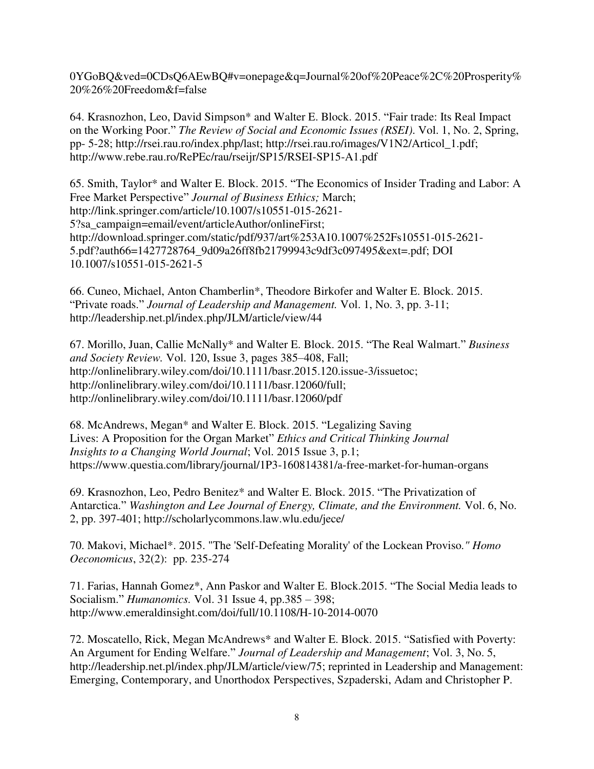0YGoBQ&ved=0CDsQ6AEwBQ#v=onepage&q=Journal%20of%20Peace%2C%20Prosperity% 20%26%20Freedom&f=false

64. Krasnozhon, Leo, David Simpson\* and Walter E. Block. 2015. "Fair trade: Its Real Impact on the Working Poor." *The Review of Social and Economic Issues (RSEI)*. Vol. 1, No. 2, Spring, pp- 5-28; [http://rsei.rau.ro/index.php/last;](http://rsei.rau.ro/index.php/last) [http://rsei.rau.ro/images/V1N2/Articol\\_1.pdf;](http://rsei.rau.ro/images/V1N2/Articol_1.pdf) http://www.rebe.rau.ro/RePEc/rau/rseijr/SP15/RSEI-SP15-A1.pdf

65. Smith, Taylor\* and Walter E. Block. 2015. "The Economics of Insider Trading and Labor: A Free Market Perspective" *Journal of Business Ethics;* March; [http://link.springer.com/article/10.1007/s10551-015-2621-](http://link.springer.com/article/10.1007/s10551-015-2621-5?sa_campaign=email/event/articleAuthor/onlineFirst) [5?sa\\_campaign=email/event/articleAuthor/onlineFirst;](http://link.springer.com/article/10.1007/s10551-015-2621-5?sa_campaign=email/event/articleAuthor/onlineFirst) [http://download.springer.com/static/pdf/937/art%253A10.1007%252Fs10551-015-2621-](http://download.springer.com/static/pdf/937/art%253A10.1007%252Fs10551-015-2621-5.pdf?auth66=1427728764_9d09a26ff8fb21799943c9df3c097495&ext=.pdf) [5.pdf?auth66=1427728764\\_9d09a26ff8fb21799943c9df3c097495&ext=.pdf;](http://download.springer.com/static/pdf/937/art%253A10.1007%252Fs10551-015-2621-5.pdf?auth66=1427728764_9d09a26ff8fb21799943c9df3c097495&ext=.pdf) DOI 10.1007/s10551-015-2621-5

66. Cuneo, Michael, Anton Chamberlin\*, Theodore Birkofer and Walter E. Block. 2015. "Private roads." *Journal of Leadership and Management.* Vol. 1, No. 3, pp. 3-11; <http://leadership.net.pl/index.php/JLM/article/view/44>

67. Morillo, Juan, Callie McNally\* and Walter E. Block. 2015. "The Real Walmart." *Business and Society Review.* [Vol. 120, Issue 3, p](http://onlinelibrary.wiley.com/doi/10.1111/basr.2015.120.issue-3/issuetoc)ages 385–408, Fall; [http://onlinelibrary.wiley.com/doi/10.1111/basr.2015.120.issue-3/issuetoc;](http://onlinelibrary.wiley.com/doi/10.1111/basr.2015.120.issue-3/issuetoc) [http://onlinelibrary.wiley.com/doi/10.1111/basr.12060/full;](http://onlinelibrary.wiley.com/doi/10.1111/basr.12060/full) <http://onlinelibrary.wiley.com/doi/10.1111/basr.12060/pdf>

68. McAndrews, Megan\* and Walter E. Block. 2015. "Legalizing Saving Lives: A Proposition for the Organ Market" *Ethics and Critical Thinking Journal Insights to a Changing World Journal*; Vol. 2015 Issue 3, p.1; https://www.questia.com/library/journal/1P3-160814381/a-free-market-for-human-organs

69. Krasnozhon, Leo, Pedro Benitez\* and Walter E. Block. 2015. "The Privatization of Antarctica." *Washington and Lee Journal of Energy, Climate, and the Environment.* Vol. 6, No. 2, pp. 397-401;<http://scholarlycommons.law.wlu.edu/jece/>

70. Makovi, Michael\*. 2015. "The 'Self-Defeating Morality' of the Lockean Proviso*." Homo Oeconomicus*, 32(2): pp. 235-274

71. Farias, Hannah Gomez\*, Ann Paskor and Walter E. Block.2015. "The Social Media leads to Socialism." *Humanomics.* Vol. 31 Issue 4, pp.385 – 398; http://www.emeraldinsight.com/doi/full/10.1108/H-10-2014-0070

72. Moscatello, Rick, Megan McAndrews\* and Walter E. Block. 2015. "Satisfied with Poverty: An Argument for Ending Welfare." *Journal of Leadership and Management*; Vol. 3, No. 5, http://leadership.net.pl/index.php/JLM/article/view/75; reprinted in Leadership and Management: Emerging, Contemporary, and Unorthodox Perspectives, Szpaderski, Adam and Christopher P.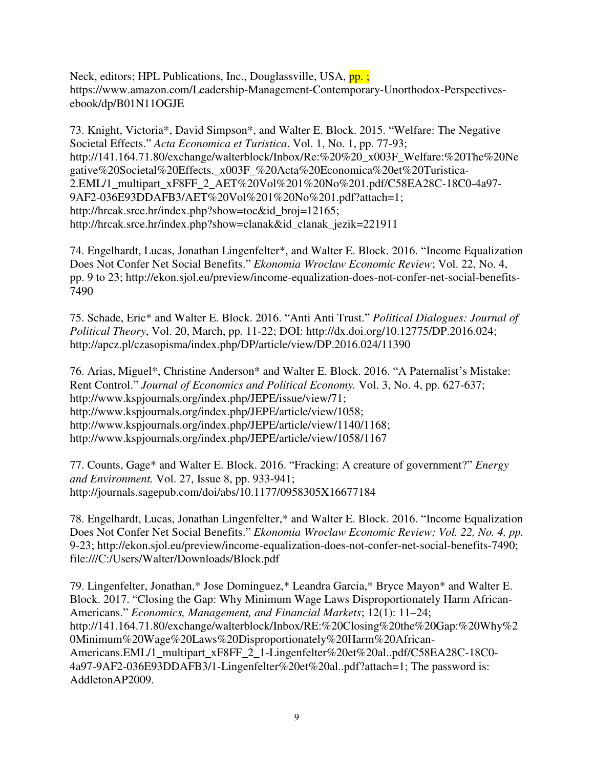Neck, editors; HPL Publications, Inc., Douglassville, USA, pp.; https://www.amazon.com/Leadership-Management-Contemporary-Unorthodox-Perspectivesebook/dp/B01N11OGJE

73. Knight, Victoria\*, David Simpson\*, and Walter E. Block. 2015. "Welfare: The Negative Societal Effects." *Acta Economica et Turistica*. Vol. 1, No. 1, pp. 77-93; [http://141.164.71.80/exchange/walterblock/Inbox/Re:%20%20\\_x003F\\_Welfare:%20The%20Ne](http://141.164.71.80/exchange/walterblock/Inbox/Re:%20%20_x003F_Welfare:%20The%20Negative%20Societal%20Effects._x003F_%20Acta%20Economica%20et%20Turistica-2.EML/1_multipart_xF8FF_2_AET%20Vol%201%20No%201.pdf/C58EA28C-18C0-4a97-9AF2-036E93DDAFB3/AET%20Vol%201%20No%201.pdf?attach=1) [gative%20Societal%20Effects.\\_x003F\\_%20Acta%20Economica%20et%20Turistica-](http://141.164.71.80/exchange/walterblock/Inbox/Re:%20%20_x003F_Welfare:%20The%20Negative%20Societal%20Effects._x003F_%20Acta%20Economica%20et%20Turistica-2.EML/1_multipart_xF8FF_2_AET%20Vol%201%20No%201.pdf/C58EA28C-18C0-4a97-9AF2-036E93DDAFB3/AET%20Vol%201%20No%201.pdf?attach=1)[2.EML/1\\_multipart\\_xF8FF\\_2\\_AET%20Vol%201%20No%201.pdf/C58EA28C-18C0-4a97-](http://141.164.71.80/exchange/walterblock/Inbox/Re:%20%20_x003F_Welfare:%20The%20Negative%20Societal%20Effects._x003F_%20Acta%20Economica%20et%20Turistica-2.EML/1_multipart_xF8FF_2_AET%20Vol%201%20No%201.pdf/C58EA28C-18C0-4a97-9AF2-036E93DDAFB3/AET%20Vol%201%20No%201.pdf?attach=1) [9AF2-036E93DDAFB3/AET%20Vol%201%20No%201.pdf?attach=1;](http://141.164.71.80/exchange/walterblock/Inbox/Re:%20%20_x003F_Welfare:%20The%20Negative%20Societal%20Effects._x003F_%20Acta%20Economica%20et%20Turistica-2.EML/1_multipart_xF8FF_2_AET%20Vol%201%20No%201.pdf/C58EA28C-18C0-4a97-9AF2-036E93DDAFB3/AET%20Vol%201%20No%201.pdf?attach=1) [http://hrcak.srce.hr/index.php?show=toc&id\\_broj=12165;](http://hrcak.srce.hr/index.php?show=toc&id_broj=12165) http://hrcak.srce.hr/index.php?show=clanak&id\_clanak\_jezik=221911

74. Engelhardt, Lucas, Jonathan Lingenfelter\*, and Walter E. Block. 2016. "Income Equalization Does Not Confer Net Social Benefits." *Ekonomia Wroclaw Economic Review*; Vol. 22, No. 4, pp. 9 to 23; [http://ekon.sjol.eu/preview/income-equalization-does-not-confer-net-social-benefits-](http://141.164.71.80/exchweb/bin/redir.asp?URL=http://ekon.sjol.eu/preview/income-equalization-does-not-confer-net-social-benefits-7490)[7490](http://141.164.71.80/exchweb/bin/redir.asp?URL=http://ekon.sjol.eu/preview/income-equalization-does-not-confer-net-social-benefits-7490) 

75. Schade, Eric\* and Walter E. Block. 2016. "Anti Anti Trust." *Political Dialogues: Journal of Political Theory*, Vol. 20, March, pp. 11-22; DOI: [http://dx.doi.org/10.12775/DP.2016.024;](http://dx.doi.org/10.12775/DP.2016.024) <http://apcz.pl/czasopisma/index.php/DP/article/view/DP.2016.024/11390>

76. Arias, Miguel\*, Christine Anderson\* and Walter E. Block. 2016. "A Paternalist's Mistake: Rent Control." *Journal of Economics and Political Economy.* Vol. 3, No. 4, pp. 627-637; http://www.kspjournals.org/index.php/JEPE/issue/view/71; [http://www.kspjournals.org/index.php/JEPE/article/view/1058;](http://www.kspjournals.org/index.php/JEPE/article/view/1058) [http://www.kspjournals.org/index.php/JEPE/article/view/1140/1168;](http://www.kspjournals.org/index.php/JEPE/article/view/1140/1168) http://www.kspjournals.org/index.php/JEPE/article/view/1058/1167

77. Counts, Gage\* and Walter E. Block. 2016. "Fracking: A creature of government?" *Energy and Environment.* Vol. 27, Issue 8, pp. 933-941; <http://journals.sagepub.com/doi/abs/10.1177/0958305X16677184>

78. Engelhardt, Lucas, Jonathan Lingenfelter,\* and Walter E. Block. 2016. "Income Equalization Does Not Confer Net Social Benefits." *Ekonomia Wroclaw Economic Review; Vol. 22, No. 4, pp.*  9-23; [http://ekon.sjol.eu/preview/income-equalization-does-not-confer-net-social-benefits-7490;](http://141.164.71.80/exchweb/bin/redir.asp?URL=http://ekon.sjol.eu/preview/income-equalization-does-not-confer-net-social-benefits-7490) file:///C:/Users/Walter/Downloads/Block.pdf

79. Lingenfelter, Jonathan,\* Jose Dominguez,\* Leandra Garcia,\* Bryce Mayon\* and Walter E. Block. 2017. "Closing the Gap: Why Minimum Wage Laws Disproportionately Harm African-Americans." *Economics, Management, and Financial Markets*; 12(1): 11–24; http://141.164.71.80/exchange/walterblock/Inbox/RE:%20Closing%20the%20Gap:%20Why%2 0Minimum%20Wage%20Laws%20Disproportionately%20Harm%20African-Americans.EML/1\_multipart\_xF8FF\_2\_1-Lingenfelter%20et%20al..pdf/C58EA28C-18C0- 4a97-9AF2-036E93DDAFB3/1-Lingenfelter%20et%20al..pdf?attach=1; The password is: AddletonAP2009.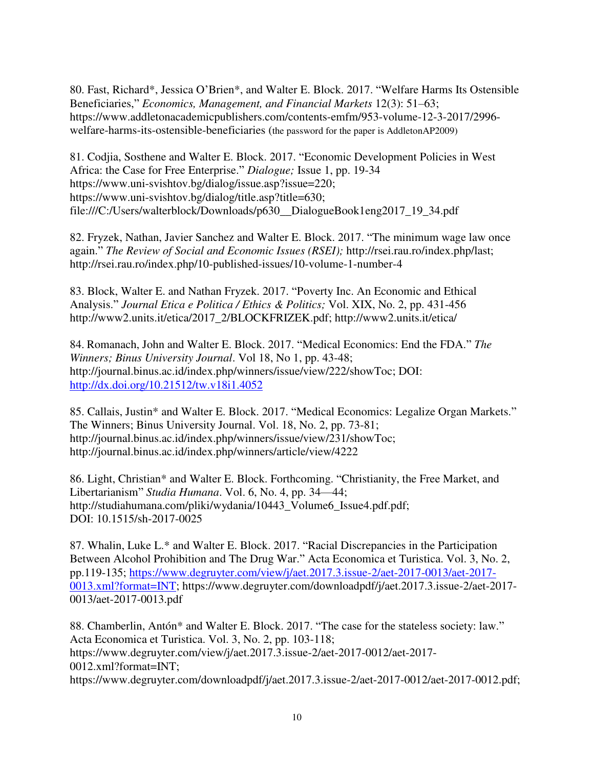80. Fast, Richard\*, Jessica O'Brien\*, and Walter E. Block. 2017. "Welfare Harms Its Ostensible Beneficiaries," *Economics, Management, and Financial Markets* 12(3): 51–63; [https://www.addletonacademicpublishers.com/contents-emfm/953-volume-12-3-2017/2996](https://www.addletonacademicpublishers.com/contents-emfm/953-volume-12-3-2017/2996-welfare-harms-its-ostensible-beneficiaries) [welfare-harms-its-ostensible-beneficiaries](https://www.addletonacademicpublishers.com/contents-emfm/953-volume-12-3-2017/2996-welfare-harms-its-ostensible-beneficiaries) (the password for the paper is AddletonAP2009)

81. Codjia, Sosthene and Walter E. Block. 2017. "Economic Development Policies in West Africa: the Case for Free Enterprise." *Dialogue;* Issue 1, pp. 19-34 [https://www.uni-svishtov.bg/dialog/issue.asp?issue=220;](https://www.uni-svishtov.bg/dialog/issue.asp?issue=220) [https://www.uni-svishtov.bg/dialog/title.asp?title=630;](https://www.uni-svishtov.bg/dialog/title.asp?title=630) file:///C:/Users/walterblock/Downloads/p630\_\_DialogueBook1eng2017\_19\_34.pdf

82. Fryzek, Nathan, Javier Sanchez and Walter E. Block. 2017. "The minimum wage law once again." *The Review of Social and Economic Issues (RSEI);* http://rsei.rau.ro/index.php/last; <http://rsei.rau.ro/index.php/10-published-issues/10-volume-1-number-4>

83. Block, Walter E. and Nathan Fryzek. 2017. "Poverty Inc. An Economic and Ethical Analysis." *Journal Etica e Politica / Ethics & Politics;* Vol. XIX, No. 2, pp. 431-456 [http://www2.units.it/etica/2017\\_2/BLOCKFRIZEK.pdf;](http://www2.units.it/etica/2017_2/BLOCKFRIZEK.pdf) http://www2.units.it/etica/

84. Romanach, John and Walter E. Block. 2017. "Medical Economics: End the FDA." *The Winners; Binus University Journal*. Vol 18, No 1, pp. 43-48; [http://journal.binus.ac.id/index.php/winners/issue/view/222/showToc;](http://journal.binus.ac.id/index.php/winners/issue/view/222/showToc) DOI: <http://dx.doi.org/10.21512/tw.v18i1.4052>

85. Callais, Justin\* and Walter E. Block. 2017. "Medical Economics: Legalize Organ Markets." The Winners; Binus University Journal. Vol. 18, No. 2, pp. 73-81; http://journal.binus.ac.id/index.php/winners/issue/view/231/showToc; http://journal.binus.ac.id/index.php/winners/article/view/4222

86. Light, Christian\* and Walter E. Block. Forthcoming. "Christianity, the Free Market, and Libertarianism" *Studia Humana*. Vol. 6, No. 4, pp. 34—44; http://studiahumana.com/pliki/wydania/10443\_Volume6\_Issue4.pdf.pdf; DOI: 10.1515/sh-2017-0025

87. Whalin, Luke L.\* and Walter E. Block. 2017. "Racial Discrepancies in the Participation Between Alcohol Prohibition and The Drug War." Acta Economica et Turistica. Vol. 3, No. 2, pp.119-135; [https://www.degruyter.com/view/j/aet.2017.3.issue-2/aet-2017-0013/aet-2017-](https://www.degruyter.com/view/j/aet.2017.3.issue-2/aet-2017-0013/aet-2017-0013.xml?format=INT) [0013.xml?format=INT;](https://www.degruyter.com/view/j/aet.2017.3.issue-2/aet-2017-0013/aet-2017-0013.xml?format=INT) https://www.degruyter.com/downloadpdf/j/aet.2017.3.issue-2/aet-2017- 0013/aet-2017-0013.pdf

88. Chamberlin, Antón\* and Walter E. Block. 2017. "The case for the stateless society: law." Acta Economica et Turistica. Vol. 3, No. 2, pp. 103-118; https://www.degruyter.com/view/j/aet.2017.3.issue-2/aet-2017-0012/aet-2017- 0012.xml?format=INT; https://www.degruyter.com/downloadpdf/j/aet.2017.3.issue-2/aet-2017-0012/aet-2017-0012.pdf;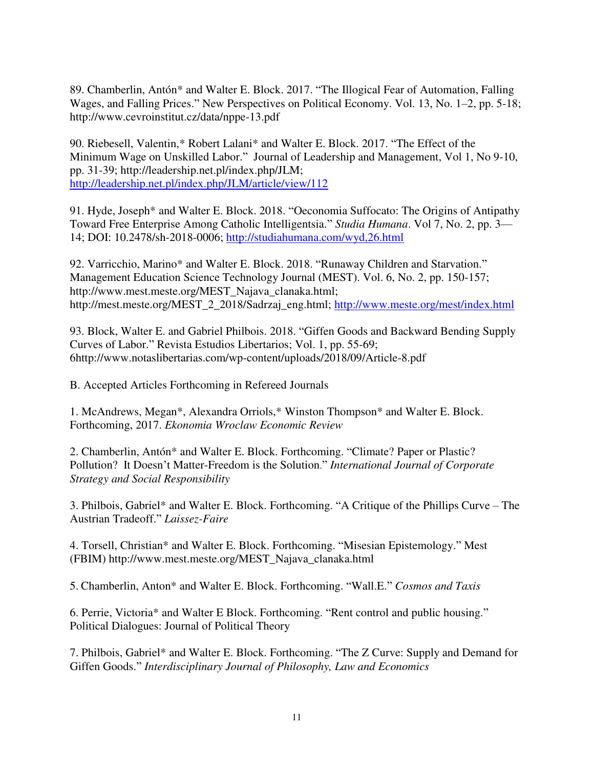89. Chamberlin, Antón\* and Walter E. Block. 2017. "The Illogical Fear of Automation, Falling Wages, and Falling Prices." New Perspectives on Political Economy. Vol. 13, No. 1–2, pp. 5-18; http://www.cevroinstitut.cz/data/nppe-13.pdf

90. Riebesell, Valentin,\* Robert Lalani\* and Walter E. Block. 2017. "The Effect of the Minimum Wage on Unskilled Labor." Journal of Leadership and Management, Vol 1, No 9-10, pp. 31-39; http://leadership.net.pl/index.php/JLM; <http://leadership.net.pl/index.php/JLM/article/view/112>

91. Hyde, Joseph\* and Walter E. Block. 2018. "Oeconomia Suffocato: The Origins of Antipathy Toward Free Enterprise Among Catholic Intelligentsia." *Studia Humana*. Vol 7, No. 2, pp. 3— 14; DOI: 10.2478/sh-2018-0006;<http://studiahumana.com/wyd,26.html>

92. Varricchio, Marino\* and Walter E. Block. 2018. "Runaway Children and Starvation." Management Education Science Technology Journal (MEST). Vol. 6, No. 2, pp. 150-157; http://www.mest.meste.org/MEST\_Najava\_clanaka.html; http://mest.meste.org/MEST\_2\_2018/Sadrzaj\_eng.html;<http://www.meste.org/mest/index.html>

93. Block, Walter E. and Gabriel Philbois. 2018. "Giffen Goods and Backward Bending Supply Curves of Labor." Revista Estudios Libertarios; Vol. 1, pp. 55-69; 6http://www.notaslibertarias.com/wp-content/uploads/2018/09/Article-8.pdf

B. Accepted Articles Forthcoming in Refereed Journals

1. McAndrews, Megan\*, Alexandra Orriols,\* Winston Thompson\* and Walter E. Block. Forthcoming, 2017. *Ekonomia Wroclaw Economic Review* 

2. Chamberlin, Antón\* and Walter E. Block. Forthcoming. "Climate? Paper or Plastic? Pollution? It Doesn't Matter-Freedom is the Solution." *International Journal of Corporate Strategy and Social Responsibility* 

3. Philbois, Gabriel\* and Walter E. Block. Forthcoming. "A Critique of the Phillips Curve – The Austrian Tradeoff." *Laissez-Faire*

4. Torsell, Christian\* and Walter E. Block. Forthcoming. "Misesian Epistemology." Mest (FBIM) http://www.mest.meste.org/MEST\_Najava\_clanaka.html

5. Chamberlin, Anton\* and Walter E. Block. Forthcoming. "Wall.E." *Cosmos and Taxis*

6. Perrie, Victoria\* and Walter E Block. Forthcoming. "Rent control and public housing." Political Dialogues: Journal of Political Theory

7. Philbois, Gabriel\* and Walter E. Block. Forthcoming. "The Z Curve: Supply and Demand for Giffen Goods." *Interdisciplinary Journal of Philosophy, Law and Economics*